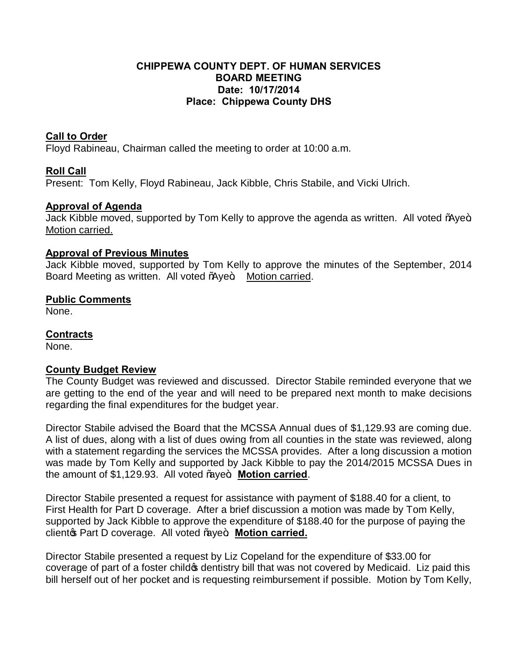## **CHIPPEWA COUNTY DEPT. OF HUMAN SERVICES BOARD MEETING Date: 10/17/2014 Place: Chippewa County DHS**

# **Call to Order**

Floyd Rabineau, Chairman called the meeting to order at 10:00 a.m.

# **Roll Call**

Present: Tom Kelly, Floyd Rabineau, Jack Kibble, Chris Stabile, and Vicki Ulrich.

# **Approval of Agenda**

Jack Kibble moved, supported by Tom Kelly to approve the agenda as written. All voted % we+ Motion carried.

#### **Approval of Previous Minutes**

Jack Kibble moved, supported by Tom Kelly to approve the minutes of the September, 2014 Board Meeting as written. All voted % ye+. Motion carried.

### **Public Comments**

None.

#### **Contracts**

None.

#### **County Budget Review**

The County Budget was reviewed and discussed. Director Stabile reminded everyone that we are getting to the end of the year and will need to be prepared next month to make decisions regarding the final expenditures for the budget year.

Director Stabile advised the Board that the MCSSA Annual dues of \$1,129.93 are coming due. A list of dues, along with a list of dues owing from all counties in the state was reviewed, along with a statement regarding the services the MCSSA provides. After a long discussion a motion was made by Tom Kelly and supported by Jack Kibble to pay the 2014/2015 MCSSA Dues in the amount of \$1,129.93. All voted % we+ Motion carried.

Director Stabile presented a request for assistance with payment of \$188.40 for a client, to First Health for Part D coverage. After a brief discussion a motion was made by Tom Kelly, supported by Jack Kibble to approve the expenditure of \$188.40 for the purpose of paying the cliento Part D coverage. All voted "aye+. Motion carried.

Director Stabile presented a request by Liz Copeland for the expenditure of \$33.00 for coverage of part of a foster child to dentistry bill that was not covered by Medicaid. Liz paid this bill herself out of her pocket and is requesting reimbursement if possible. Motion by Tom Kelly,